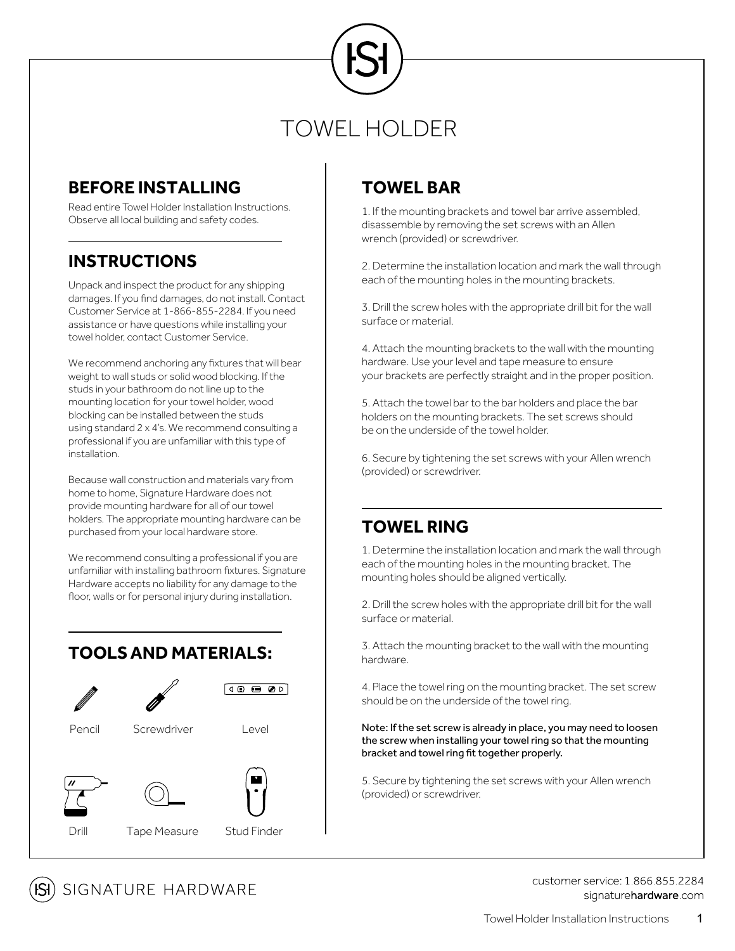# TOWEL HOLDER

### **BEFORE INSTALLING TOWEL BAR**

Read entire Towel Holder Installation Instructions. Observe all local building and safety codes.

### **INSTRUCTIONS**

Unpack and inspect the product for any shipping damages. If you find damages, do not install. Contact Customer Service at 1-866-855-2284. If you need assistance or have questions while installing your towel holder, contact Customer Service.

We recommend anchoring any fixtures that will bear weight to wall studs or solid wood blocking. If the studs in your bathroom do not line up to the mounting location for your towel holder, wood blocking can be installed between the studs using standard 2 x 4's. We recommend consulting a professional if you are unfamiliar with this type of installation.

Because wall construction and materials vary from home to home, Signature Hardware does not provide mounting hardware for all of our towel holders. The appropriate mounting hardware can be purchased from your local hardware store.

We recommend consulting a professional if you are unfamiliar with installing bathroom fixtures. Signature Hardware accepts no liability for any damage to the floor, walls or for personal injury during installation.

### **TOOLSAND MATERIALS:**



1. If the mounting brackets and towel bar arrive assembled, disassemble by removing the set screws with an Allen wrench (provided) or screwdriver.

2. Determine the installation location and mark the wall through each of the mounting holes in the mounting brackets.

3. Drill the screw holes with the appropriate drill bit for the wall surface or material.

4. Attach the mounting brackets to the wall with the mounting hardware. Use your level and tape measure to ensure your brackets are perfectly straight and in the proper position.

5. Attach the towel bar to the bar holders and place the bar holders on the mounting brackets. The set screws should be on the underside of the towel holder.

6. Secure by tightening the set screws with your Allen wrench (provided) or screwdriver.

### **TOWEL RING**

1. Determine the installation location and mark the wall through each of the mounting holes in the mounting bracket. The mounting holes should be aligned vertically.

2. Drill the screw holes with the appropriate drill bit for the wall surface or material.

3. Attach the mounting bracket to the wall with the mounting hardware.

4. Place the towel ring on the mounting bracket. The set screw should be on the underside of the towel ring.

### Note: If the set screw is already in place, you may need to loosen the screw when installing your towel ring so that the mounting bracket and towel ring fit together properly.

5. Secure by tightening the set screws with your Allen wrench (provided) or screwdriver.



customer service: 1 866 855 2284 signaturehardware.com